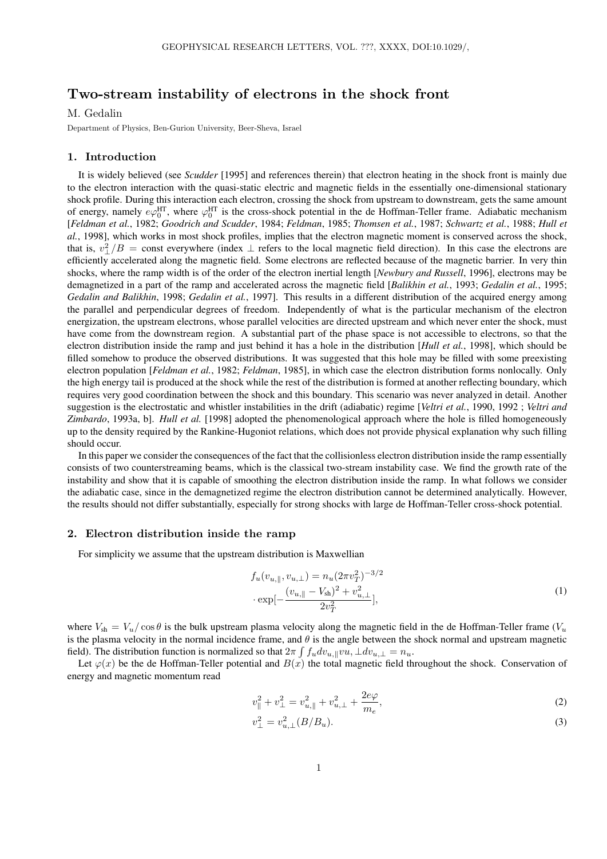# Two-stream instability of electrons in the shock front

# M. Gedalin

Department of Physics, Ben-Gurion University, Beer-Sheva, Israel

### 1. Introduction

It is widely believed (see *Scudder* [1995] and references therein) that electron heating in the shock front is mainly due to the electron interaction with the quasi-static electric and magnetic fields in the essentially one-dimensional stationary shock profile. During this interaction each electron, crossing the shock from upstream to downstream, gets the same amount of energy, namely  $e\varphi_0^{\text{HT}}$ , where  $\varphi_0^{\text{HT}}$  is the cross-shock potential in the de Hoffman-Teller frame. Adiabatic mechanism [*Feldman et al.*, 1982; *Goodrich and Scudder*, 1984; *Feldman*, 1985; *Thomsen et al.*, 1987; *Schwartz et al.*, 1988; *Hull et al.*, 1998], which works in most shock profiles, implies that the electron magnetic moment is conserved across the shock, that is,  $v_\perp^2/B = \text{const}$  everywhere (index  $\perp$  refers to the local magnetic field direction). In this case the electrons are efficiently accelerated along the magnetic field. Some electrons are reflected because of the magnetic barrier. In very thin shocks, where the ramp width is of the order of the electron inertial length [*Newbury and Russell*, 1996], electrons may be demagnetized in a part of the ramp and accelerated across the magnetic field [*Balikhin et al.*, 1993; *Gedalin et al.*, 1995; *Gedalin and Balikhin*, 1998; *Gedalin et al.*, 1997]. This results in a different distribution of the acquired energy among the parallel and perpendicular degrees of freedom. Independently of what is the particular mechanism of the electron energization, the upstream electrons, whose parallel velocities are directed upstream and which never enter the shock, must have come from the downstream region. A substantial part of the phase space is not accessible to electrons, so that the electron distribution inside the ramp and just behind it has a hole in the distribution [*Hull et al.*, 1998], which should be filled somehow to produce the observed distributions. It was suggested that this hole may be filled with some preexisting electron population [*Feldman et al.*, 1982; *Feldman*, 1985], in which case the electron distribution forms nonlocally. Only the high energy tail is produced at the shock while the rest of the distribution is formed at another reflecting boundary, which requires very good coordination between the shock and this boundary. This scenario was never analyzed in detail. Another suggestion is the electrostatic and whistler instabilities in the drift (adiabatic) regime [*Veltri et al.*, 1990, 1992 ; *Veltri and Zimbardo*, 1993a, b]. *Hull et al.* [1998] adopted the phenomenological approach where the hole is filled homogeneously up to the density required by the Rankine-Hugoniot relations, which does not provide physical explanation why such filling should occur.

In this paper we consider the consequences of the fact that the collisionless electron distribution inside the ramp essentially consists of two counterstreaming beams, which is the classical two-stream instability case. We find the growth rate of the instability and show that it is capable of smoothing the electron distribution inside the ramp. In what follows we consider the adiabatic case, since in the demagnetized regime the electron distribution cannot be determined analytically. However, the results should not differ substantially, especially for strong shocks with large de Hoffman-Teller cross-shock potential.

# 2. Electron distribution inside the ramp

For simplicity we assume that the upstream distribution is Maxwellian

$$
f_u(v_{u, \parallel}, v_{u, \perp}) = n_u (2\pi v_T^2)^{-3/2}
$$

$$
\cdot \exp[-\frac{(v_{u, \parallel} - V_{\rm sh})^2 + v_{u, \perp}^2}{2v_T^2}], \tag{1}
$$

where  $V_{\rm sh} = V_u / \cos \theta$  is the bulk upstream plasma velocity along the magnetic field in the de Hoffman-Teller frame (V<sub>u</sub> is the plasma velocity in the normal incidence frame, and  $\theta$  is the angle between the shock normal and upstream magnetic field). The distribution function is normalized so that  $2\pi \int f_u dv_{u,||} vu$ ,  $\perp dv_{u, \perp} = n_u$ .

Let  $\varphi(x)$  be the de Hoffman-Teller potential and  $B(x)$  the total magnetic field throughout the shock. Conservation of energy and magnetic momentum read

$$
v_{\parallel}^{2} + v_{\perp}^{2} = v_{u,\parallel}^{2} + v_{u,\perp}^{2} + \frac{2e\varphi}{m_{e}},
$$
\n(2)

$$
v_{\perp}^2 = v_{u,\perp}^2(B/B_u). \tag{3}
$$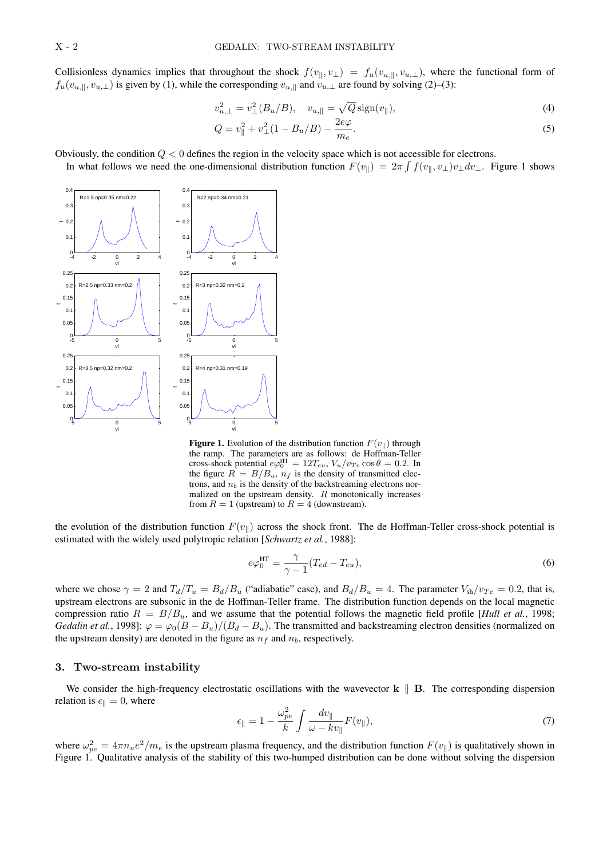Collisionless dynamics implies that throughout the shock  $f(v_{\parallel}, v_{\perp}) = f_u(v_{u, \parallel}, v_{u, \perp})$ , where the functional form of  $f_u(v_{u, \parallel}, v_{u, \perp})$  is given by (1), while the corresponding  $v_{u, \parallel}$  and  $v_{u, \perp}$  are found by solving (2)–(3):

$$
v_{u,\perp}^2 = v_{\perp}^2(B_u/B), \quad v_{u,\parallel} = \sqrt{Q} \operatorname{sign}(v_{\parallel}), \tag{4}
$$

$$
Q = v_{\parallel}^2 + v_{\perp}^2 (1 - B_u / B) - \frac{2e\varphi}{m_e}.
$$
\n(5)

Obviously, the condition  $Q < 0$  defines the region in the velocity space which is not accessible for electrons.

In what follows we need the one-dimensional distribution function  $F(v_{\parallel}) = 2\pi \int f(v_{\parallel}, v_{\perp})v_{\perp}dv_{\perp}$ . Figure 1 shows



**Figure 1.** Evolution of the distribution function  $F(v_{\parallel})$  through the ramp. The parameters are as follows: de Hoffman-Teller cross-shock potential  $e\varphi_0^{\text{HT}} = 12T_{eu}$ ,  $V_u/v_{Te}\cos\theta = 0.2$ . In the figure  $R = B/B_u$ ,  $n_f$  is the density of transmitted electrons, and  $n<sub>b</sub>$  is the density of the backstreaming electrons normalized on the upstream density.  $R$  monotonically increases from  $R = 1$  (upstream) to  $R = 4$  (downstream).

the evolution of the distribution function  $F(v_{\parallel})$  across the shock front. The de Hoffman-Teller cross-shock potential is estimated with the widely used polytropic relation [*Schwartz et al.*, 1988]:

$$
e\varphi_0^{\text{HT}} = \frac{\gamma}{\gamma - 1} (T_{ed} - T_{eu}),\tag{6}
$$

where we chose  $\gamma = 2$  and  $T_d/T_u = B_d/B_u$  ("adiabatic" case), and  $B_d/B_u = 4$ . The parameter  $V_{sh}/v_{Te} = 0.2$ , that is, upstream electrons are subsonic in the de Hoffman-Teller frame. The distribution function depends on the local magnetic compression ratio  $R = B/B_u$ , and we assume that the potential follows the magnetic field profile [*Hull et al.*, 1998; *Gedalin et al.*, 1998]:  $\varphi = \varphi_0 (B - B_u)/(B_d - B_u)$ . The transmitted and backstreaming electron densities (normalized on the upstream density) are denoted in the figure as  $n_f$  and  $n_b$ , respectively.

# 3. Two-stream instability

We consider the high-frequency electrostatic oscillations with the wavevector  $k \parallel B$ . The corresponding dispersion relation is  $\epsilon_{\parallel} = 0$ , where

$$
\epsilon_{\parallel} = 1 - \frac{\omega_{pe}^2}{k} \int \frac{dv_{\parallel}}{\omega - kv_{\parallel}} F(v_{\parallel}), \tag{7}
$$

where  $\omega_{pe}^2 = 4\pi n_u e^2/m_e$  is the upstream plasma frequency, and the distribution function  $F(v_{\parallel})$  is qualitatively shown in Figure 1. Qualitative analysis of the stability of this two-humped distribution can be done without solving the dispersion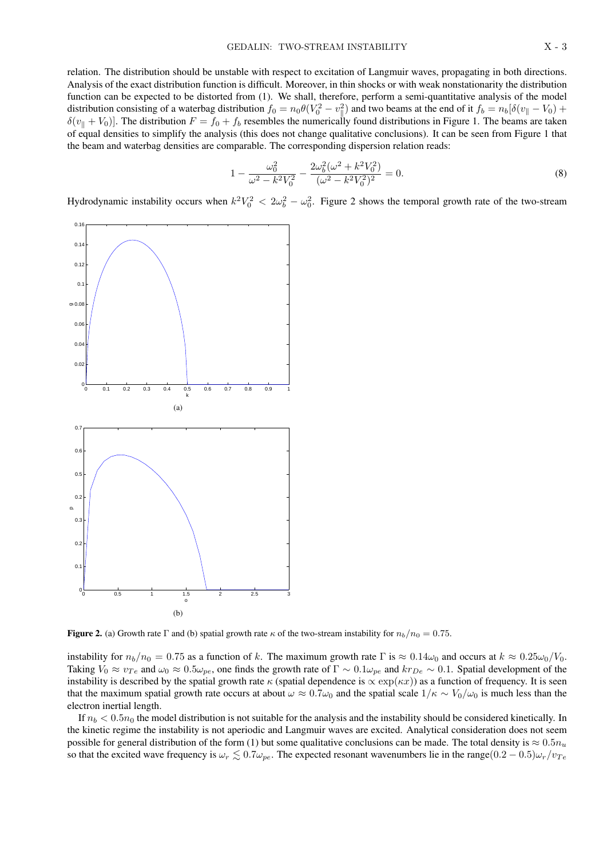relation. The distribution should be unstable with respect to excitation of Langmuir waves, propagating in both directions. Analysis of the exact distribution function is difficult. Moreover, in thin shocks or with weak nonstationarity the distribution function can be expected to be distorted from (1). We shall, therefore, perform a semi-quantitative analysis of the model distribution consisting of a waterbag distribution  $f_0 = n_0 \theta (V_0^2 - v_\parallel^2)$  and two beams at the end of it  $f_b = n_b [\delta(v_\parallel - V_0) +$  $\delta(v_{\parallel} + V_0)$ . The distribution  $F = f_0 + f_b$  resembles the numerically found distributions in Figure 1. The beams are taken of equal densities to simplify the analysis (this does not change qualitative conclusions). It can be seen from Figure 1 that the beam and waterbag densities are comparable. The corresponding dispersion relation reads:

$$
1 - \frac{\omega_0^2}{\omega^2 - k^2 V_0^2} - \frac{2\omega_b^2 (\omega^2 + k^2 V_0^2)}{(\omega^2 - k^2 V_0^2)^2} = 0.
$$
\n(8)

Hydrodynamic instability occurs when  $k^2V_0^2 < 2\omega_b^2 - \omega_0^2$ . Figure 2 shows the temporal growth rate of the two-stream



**Figure 2.** (a) Growth rate Γ and (b) spatial growth rate  $\kappa$  of the two-stream instability for  $n_b/n_0 = 0.75$ .

instability for  $n_b/n_0 = 0.75$  as a function of k. The maximum growth rate  $\Gamma$  is  $\approx 0.14\omega_0$  and occurs at  $k \approx 0.25\omega_0/V_0$ . Taking  $V_0 \approx v_{Te}$  and  $\omega_0 \approx 0.5\omega_{pe}$ , one finds the growth rate of  $\Gamma \sim 0.1\omega_{pe}$  and  $kr_{De} \sim 0.1$ . Spatial development of the instability is described by the spatial growth rate  $\kappa$  (spatial dependence is  $\propto \exp(\kappa x)$ ) as a function of frequency. It is seen that the maximum spatial growth rate occurs at about  $\omega \approx 0.7\omega_0$  and the spatial scale  $1/\kappa \sim V_0/\omega_0$  is much less than the electron inertial length.

If  $n_b < 0.5n_0$  the model distribution is not suitable for the analysis and the instability should be considered kinetically. In the kinetic regime the instability is not aperiodic and Langmuir waves are excited. Analytical consideration does not seem possible for general distribution of the form (1) but some qualitative conclusions can be made. The total density is  $\approx 0.5n_u$ so that the excited wave frequency is  $\omega_r \leq 0.7\omega_{pe}$ . The expected resonant wavenumbers lie in the range $(0.2 - 0.5)\omega_r/v_{Te}$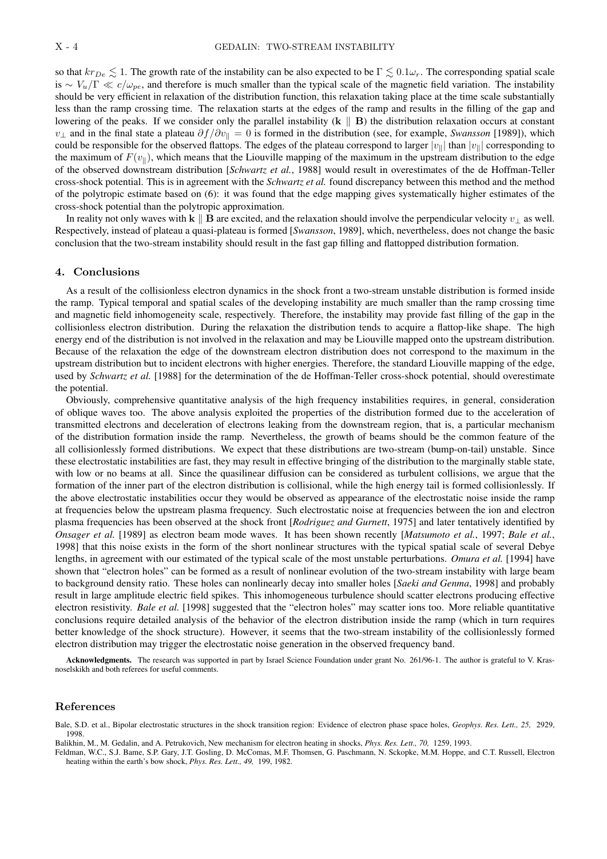so that  $kr_{De} \lesssim 1$ . The growth rate of the instability can be also expected to be  $\Gamma \lesssim 0.1\omega_r$ . The corresponding spatial scale is ∼  $V_u/\Gamma \ll c/\omega_{pe}$ , and therefore is much smaller than the typical scale of the magnetic field variation. The instability should be very efficient in relaxation of the distribution function, this relaxation taking place at the time scale substantially less than the ramp crossing time. The relaxation starts at the edges of the ramp and results in the filling of the gap and lowering of the peaks. If we consider only the parallel instability  $(k \parallel B)$  the distribution relaxation occurs at constant  $v_\perp$  and in the final state a plateau  $\partial f/\partial v_\parallel = 0$  is formed in the distribution (see, for example, *Swansson* [1989]), which could be responsible for the observed flattops. The edges of the plateau correspond to larger  $|v_{\parallel}|$  than  $|v_{\parallel}|$  corresponding to the maximum of  $F(v_{\parallel})$ , which means that the Liouville mapping of the maximum in the upstream distribution to the edge of the observed downstream distribution [*Schwartz et al.*, 1988] would result in overestimates of the de Hoffman-Teller cross-shock potential. This is in agreement with the *Schwartz et al.* found discrepancy between this method and the method of the polytropic estimate based on (6): it was found that the edge mapping gives systematically higher estimates of the cross-shock potential than the polytropic approximation.

In reality not only waves with k  $\parallel$  B are excited, and the relaxation should involve the perpendicular velocity  $v_{\perp}$  as well. Respectively, instead of plateau a quasi-plateau is formed [*Swansson*, 1989], which, nevertheless, does not change the basic conclusion that the two-stream instability should result in the fast gap filling and flattopped distribution formation.

#### 4. Conclusions

As a result of the collisionless electron dynamics in the shock front a two-stream unstable distribution is formed inside the ramp. Typical temporal and spatial scales of the developing instability are much smaller than the ramp crossing time and magnetic field inhomogeneity scale, respectively. Therefore, the instability may provide fast filling of the gap in the collisionless electron distribution. During the relaxation the distribution tends to acquire a flattop-like shape. The high energy end of the distribution is not involved in the relaxation and may be Liouville mapped onto the upstream distribution. Because of the relaxation the edge of the downstream electron distribution does not correspond to the maximum in the upstream distribution but to incident electrons with higher energies. Therefore, the standard Liouville mapping of the edge, used by *Schwartz et al.* [1988] for the determination of the de Hoffman-Teller cross-shock potential, should overestimate the potential.

Obviously, comprehensive quantitative analysis of the high frequency instabilities requires, in general, consideration of oblique waves too. The above analysis exploited the properties of the distribution formed due to the acceleration of transmitted electrons and deceleration of electrons leaking from the downstream region, that is, a particular mechanism of the distribution formation inside the ramp. Nevertheless, the growth of beams should be the common feature of the all collisionlessly formed distributions. We expect that these distributions are two-stream (bump-on-tail) unstable. Since these electrostatic instabilities are fast, they may result in effective bringing of the distribution to the marginally stable state, with low or no beams at all. Since the quasilinear diffusion can be considered as turbulent collisions, we argue that the formation of the inner part of the electron distribution is collisional, while the high energy tail is formed collisionlessly. If the above electrostatic instabilities occur they would be observed as appearance of the electrostatic noise inside the ramp at frequencies below the upstream plasma frequency. Such electrostatic noise at frequencies between the ion and electron plasma frequencies has been observed at the shock front [*Rodriguez and Gurnett*, 1975] and later tentatively identified by *Onsager et al.* [1989] as electron beam mode waves. It has been shown recently [*Matsumoto et al.*, 1997; *Bale et al.*, 1998] that this noise exists in the form of the short nonlinear structures with the typical spatial scale of several Debye lengths, in agreement with our estimated of the typical scale of the most unstable perturbations. *Omura et al.* [1994] have shown that "electron holes" can be formed as a result of nonlinear evolution of the two-stream instability with large beam to background density ratio. These holes can nonlinearly decay into smaller holes [*Saeki and Genma*, 1998] and probably result in large amplitude electric field spikes. This inhomogeneous turbulence should scatter electrons producing effective electron resistivity. *Bale et al.* [1998] suggested that the "electron holes" may scatter ions too. More reliable quantitative conclusions require detailed analysis of the behavior of the electron distribution inside the ramp (which in turn requires better knowledge of the shock structure). However, it seems that the two-stream instability of the collisionlessly formed electron distribution may trigger the electrostatic noise generation in the observed frequency band.

Acknowledgments. The research was supported in part by Israel Science Foundation under grant No. 261/96-1. The author is grateful to V. Krasnoselskikh and both referees for useful comments.

### References

Bale, S.D. et al., Bipolar electrostatic structures in the shock transition region: Evidence of electron phase space holes, *Geophys. Res. Lett., 25,* 2929, 1998.

Balikhin, M., M. Gedalin, and A. Petrukovich, New mechanism for electron heating in shocks, *Phys. Res. Lett., 70,* 1259, 1993.

Feldman, W.C., S.J. Bame, S.P. Gary, J.T. Gosling, D. McComas, M.F. Thomsen, G. Paschmann, N. Sckopke, M.M. Hoppe, and C.T. Russell, Electron heating within the earth's bow shock, *Phys. Res. Lett., 49,* 199, 1982.